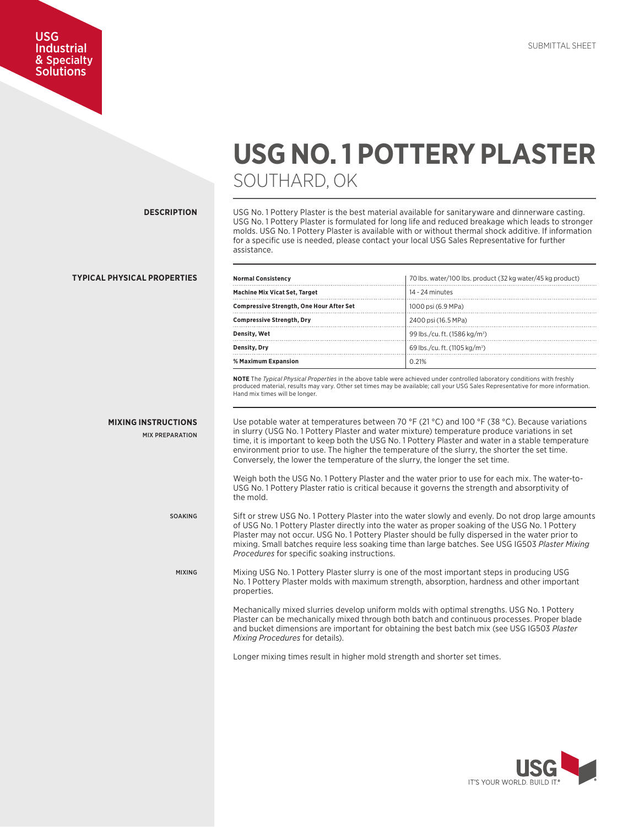## USG Industrial & Specialty Solutions

## **USG NO. 1 POTTERY PLASTER** SOUTHARD, OK

**DESCRIPTION**

USG No. 1 Pottery Plaster is the best material available for sanitaryware and dinnerware casting. USG No. 1 Pottery Plaster is formulated for long life and reduced breakage which leads to stronger molds. USG No. 1 Pottery Plaster is available with or without thermal shock additive. If information for a specific use is needed, please contact your local USG Sales Representative for further assistance.

| <b>Normal Consistency</b>                       | 70 lbs. water/100 lbs. product (32 kg water/45 kg product) |  |  |
|-------------------------------------------------|------------------------------------------------------------|--|--|
| <b>Machine Mix Vicat Set, Target</b>            | 14 - 24 minutes                                            |  |  |
| <b>Compressive Strength, One Hour After Set</b> | 1000 psi (6.9 MPa)                                         |  |  |
| <b>Compressive Strength, Dry</b>                | 2400 psi (16.5 MPa)                                        |  |  |
| Density, Wet                                    | 99 lbs./cu. ft. (1586 kg/m <sup>3</sup> )                  |  |  |
| Density, Dry                                    | 69 lbs./cu. ft. (1105 kg/m <sup>3</sup> )                  |  |  |
| % Maximum Expansion                             | 0.21%                                                      |  |  |

**NOTE** The *Typical Physical Properties* in the above table were achieved under controlled laboratory conditions with freshly produced material, results may vary. Other set times may be available; call your USG Sales Representative for more information. Hand mix times will be longer.

Use potable water at temperatures between 70 °F (21 °C) and 100 °F (38 °C). Because variations in slurry (USG No. 1 Pottery Plaster and water mixture) temperature produce variations in set time, it is important to keep both the USG No. 1 Pottery Plaster and water in a stable temperature environment prior to use. The higher the temperature of the slurry, the shorter the set time. Conversely, the lower the temperature of the slurry, the longer the set time.

Weigh both the USG No. 1 Pottery Plaster and the water prior to use for each mix. The water-to-USG No. 1 Pottery Plaster ratio is critical because it governs the strength and absorptivity of the mold.

Sift or strew USG No. 1 Pottery Plaster into the water slowly and evenly. Do not drop large amounts of USG No. 1 Pottery Plaster directly into the water as proper soaking of the USG No. 1 Pottery Plaster may not occur. USG No. 1 Pottery Plaster should be fully dispersed in the water prior to mixing. Small batches require less soaking time than large batches. See USG IG503 *Plaster Mixing Procedures* for specific soaking instructions.

Mixing USG No. 1 Pottery Plaster slurry is one of the most important steps in producing USG No. 1 Pottery Plaster molds with maximum strength, absorption, hardness and other important properties.

Mechanically mixed slurries develop uniform molds with optimal strengths. USG No. 1 Pottery Plaster can be mechanically mixed through both batch and continuous processes. Proper blade and bucket dimensions are important for obtaining the best batch mix (see USG IG503 *Plaster Mixing Procedures* for details).

Longer mixing times result in higher mold strength and shorter set times.



## **TYPICAL PHYSICAL PROPERTIES**

**MIXING INSTRUCTIONS**

MIX PREPARATION

SOAKING

MIXING